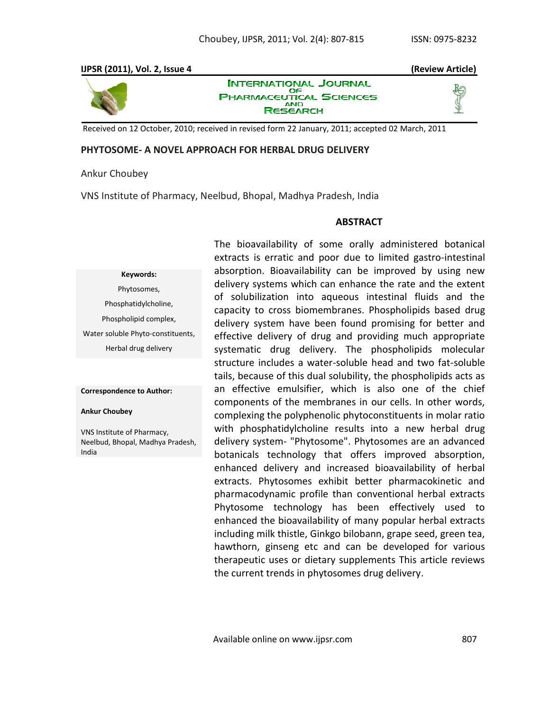## **IJPSR (2011), Vol. 2, Issue 4 (Review Article)**



**INTERNATIONAL JOURNAL** ОF **PHARMACEUTICAL SCIENCES AND RESEARCH** 



Received on 12 October, 2010; received in revised form 22 January, 2011; accepted 02 March, 2011

## **PHYTOSOME- A NOVEL APPROACH FOR HERBAL DRUG DELIVERY**

## Ankur Choubey

VNS Institute of Pharmacy, Neelbud, Bhopal, Madhya Pradesh, India

## **ABSTRACT**

# **Keywords:**

Phytosomes, Phosphatidylcholine, Phospholipid complex, Water soluble Phyto-constituents, Herbal drug delivery

#### **Correspondence to Author:**

#### **Ankur Choubey**

VNS Institute of Pharmacy, Neelbud, Bhopal, Madhya Pradesh, India

The bioavailability of some orally administered botanical extracts is erratic and poor due to limited gastro-intestinal absorption. Bioavailability can be improved by using new delivery systems which can enhance the rate and the extent of solubilization into aqueous intestinal fluids and the capacity to cross biomembranes. Phospholipids based drug delivery system have been found promising for better and effective delivery of drug and providing much appropriate systematic drug delivery. The phospholipids molecular structure includes a water-soluble head and two fat-soluble tails, because of this dual solubility, the phospholipids acts as an effective emulsifier, which is also one of the chief components of the membranes in our cells. In other words, complexing the polyphenolic phytoconstituents in molar ratio with phosphatidylcholine results into a new herbal drug delivery system- "Phytosome". Phytosomes are an advanced botanicals technology that offers improved absorption, enhanced delivery and increased bioavailability of herbal extracts. Phytosomes exhibit better pharmacokinetic and pharmacodynamic profile than conventional herbal extracts Phytosome technology has been effectively used to enhanced the bioavailability of many popular herbal extracts including milk thistle, Ginkgo bilobann, grape seed, green tea, hawthorn, ginseng etc and can be developed for various therapeutic uses or dietary supplements This article reviews the current trends in phytosomes drug delivery.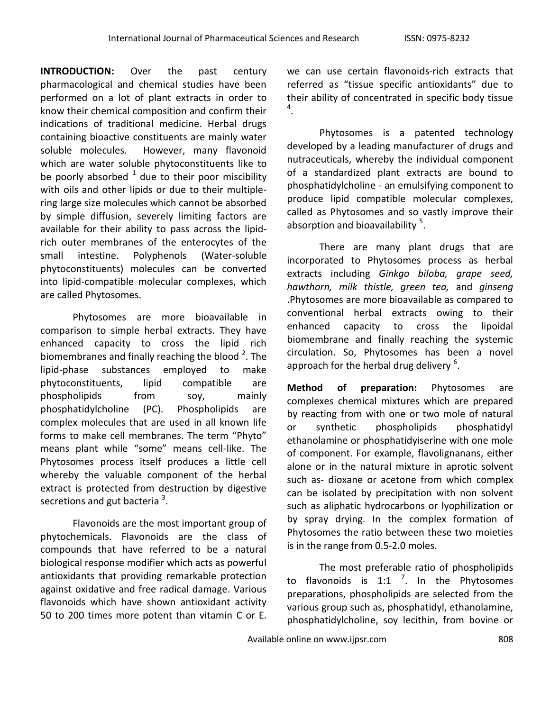**INTRODUCTION:** Over the past century pharmacological and chemical studies have been performed on a lot of plant extracts in order to know their chemical composition and confirm their indications of traditional medicine. Herbal drugs containing bioactive constituents are mainly water soluble molecules. However, many flavonoid which are water soluble phytoconstituents like to be poorly absorbed  $^1$  due to their poor miscibility with oils and other lipids or due to their multiplering large size molecules which cannot be absorbed by simple diffusion, severely limiting factors are available for their ability to pass across the lipidrich outer membranes of the enterocytes of the small intestine. Polyphenols (Water-soluble phytoconstituents) molecules can be converted into lipid-compatible molecular complexes, which are called Phytosomes.

Phytosomes are more bioavailable in comparison to simple herbal extracts. They have enhanced capacity to cross the lipid rich biomembranes and finally reaching the blood  $^2$ . The lipid-phase substances employed to make phytoconstituents, lipid compatible are phospholipids from soy, mainly phosphatidylcholine (PC). Phospholipids are complex molecules that are used in all known life forms to make cell membranes. The term "Phyto" means plant while "some" means cell-like. The Phytosomes process itself produces a little cell whereby the valuable component of the herbal extract is protected from destruction by digestive secretions and gut bacteria  $^3$ .

Flavonoids are the most important group of phytochemicals. Flavonoids are the class of compounds that have referred to be a natural biological response modifier which acts as powerful antioxidants that providing remarkable protection against oxidative and free radical damage. Various flavonoids which have shown antioxidant activity 50 to 200 times more potent than vitamin C or E.

we can use certain flavonoids-rich extracts that referred as "tissue specific antioxidants" due to their ability of concentrated in specific body tissue 4 .

Phytosomes is a patented technology developed by a leading manufacturer of drugs and nutraceuticals, whereby the individual component of a standardized plant extracts are bound to phosphatidylcholine - an emulsifying component to produce lipid compatible molecular complexes, called as Phytosomes and so vastly improve their absorption and bioavailability <sup>5</sup>.

There are many plant drugs that are incorporated to Phytosomes process as herbal extracts including *Ginkgo biloba, grape seed, hawthorn, milk thistle, green tea,* and *ginseng* .Phytosomes are more bioavailable as compared to conventional herbal extracts owing to their enhanced capacity to cross the lipoidal biomembrane and finally reaching the systemic circulation. So, Phytosomes has been a novel approach for the herbal drug delivery  $^6$ .

**Method of preparation:** Phytosomes are complexes chemical mixtures which are prepared by reacting from with one or two mole of natural or synthetic phospholipids phosphatidyl ethanolamine or phosphatidyiserine with one mole of component. For example, flavolignanans, either alone or in the natural mixture in aprotic solvent such as- dioxane or acetone from which complex can be isolated by precipitation with non solvent such as aliphatic hydrocarbons or lyophilization or by spray drying. In the complex formation of Phytosomes the ratio between these two moieties is in the range from 0.5-2.0 moles.

The most preferable ratio of phospholipids to flavonoids is 1:1  $^7$ . In the Phytosomes preparations, phospholipids are selected from the various group such as, phosphatidyl, ethanolamine, phosphatidylcholine, soy lecithin, from bovine or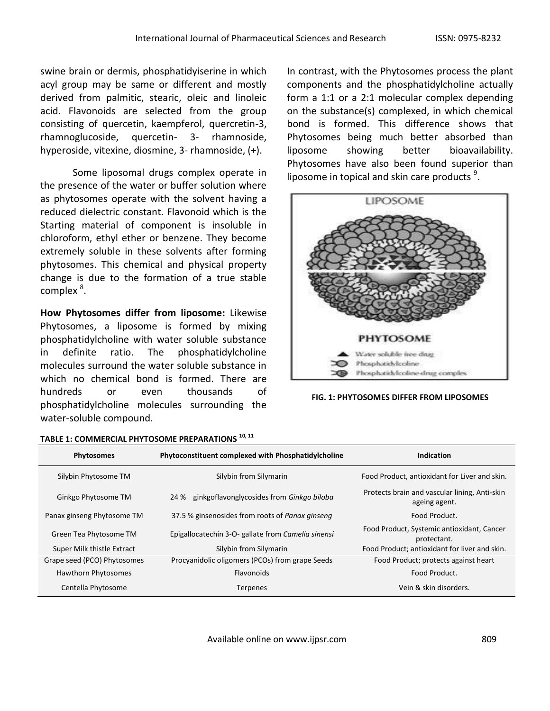swine brain or dermis, phosphatidyiserine in which acyl group may be same or different and mostly derived from palmitic, stearic, oleic and linoleic acid. Flavonoids are selected from the group consisting of quercetin, kaempferol, quercretin-3, rhamnoglucoside, quercetin- 3- rhamnoside, hyperoside, vitexine, diosmine, 3- rhamnoside, (+).

Some liposomal drugs complex operate in the presence of the water or buffer solution where as phytosomes operate with the solvent having a reduced dielectric constant. Flavonoid which is the Starting material of component is insoluble in chloroform, ethyl ether or benzene. They become extremely soluble in these solvents after forming phytosomes. This chemical and physical property change is due to the formation of a true stable complex<sup>8</sup>.

**How Phytosomes differ from liposome:** Likewise Phytosomes, a liposome is formed by mixing phosphatidylcholine with water soluble substance in definite ratio. The phosphatidylcholine molecules surround the water soluble substance in which no chemical bond is formed. There are hundreds or even thousands of phosphatidylcholine molecules surrounding the water-soluble compound.

# **TABLE 1: COMMERCIAL PHYTOSOME PREPARATIONS 10, <sup>11</sup>**

In contrast, with the Phytosomes process the plant components and the phosphatidylcholine actually form a 1:1 or a 2:1 molecular complex depending on the substance(s) complexed, in which chemical bond is formed. This difference shows that Phytosomes being much better absorbed than liposome showing better bioavailability. Phytosomes have also been found superior than liposome in topical and skin care products  $9$ .



**FIG. 1: PHYTOSOMES DIFFER FROM LIPOSOMES** 

| <b>Phytosomes</b>           | Phytoconstituent complexed with Phosphatidylcholine | Indication                                                     |
|-----------------------------|-----------------------------------------------------|----------------------------------------------------------------|
| Silybin Phytosome TM        | Silybin from Silymarin                              | Food Product, antioxidant for Liver and skin.                  |
| Ginkgo Phytosome TM         | 24 % ginkgoflavonglycosides from Ginkgo biloba      | Protects brain and vascular lining, Anti-skin<br>ageing agent. |
| Panax ginseng Phytosome TM  | 37.5 % ginsenosides from roots of Panax ginseng     | Food Product.                                                  |
| Green Tea Phytosome TM      | Epigallocatechin 3-O- gallate from Camelia sinensi  | Food Product, Systemic antioxidant, Cancer<br>protectant.      |
| Super Milk thistle Extract  | Silybin from Silymarin                              | Food Product; antioxidant for liver and skin.                  |
| Grape seed (PCO) Phytosomes | Procyanidolic oligomers (PCOs) from grape Seeds     | Food Product; protects against heart                           |
| Hawthorn Phytosomes         | <b>Flavonoids</b>                                   | Food Product.                                                  |
| Centella Phytosome          | <b>Terpenes</b>                                     | Vein & skin disorders.                                         |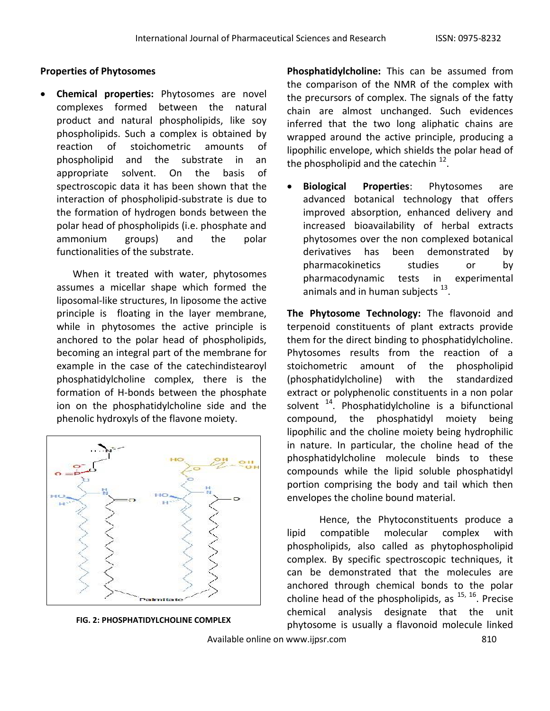## **Properties of Phytosomes**

 **Chemical properties:** Phytosomes are novel complexes formed between the natural product and natural phospholipids, like soy phospholipids. Such a complex is obtained by reaction of stoichometric amounts of phospholipid and the substrate in an appropriate solvent. On the basis of spectroscopic data it has been shown that the interaction of phospholipid-substrate is due to the formation of hydrogen bonds between the polar head of phospholipids (i.e. phosphate and ammonium groups) and the polar functionalities of the substrate.

When it treated with water, phytosomes assumes a micellar shape which formed the liposomal-like structures, In liposome the active principle is floating in the layer membrane, while in phytosomes the active principle is anchored to the polar head of phospholipids, becoming an integral part of the membrane for example in the case of the catechindistearoyl phosphatidylcholine complex, there is the formation of H-bonds between the phosphate ion on the phosphatidylcholine side and the phenolic hydroxyls of the flavone moiety.



**FIG. 2: PHOSPHATIDYLCHOLINE COMPLEX**

**Phosphatidylcholine:** This can be assumed from the comparison of the NMR of the complex with the precursors of complex. The signals of the fatty chain are almost unchanged. Such evidences inferred that the two long aliphatic chains are wrapped around the active principle, producing a lipophilic envelope, which shields the polar head of the phospholipid and the catechin  $^{12}$ .

 **Biological Properties**: Phytosomes are advanced botanical technology that offers improved absorption, enhanced delivery and increased bioavailability of herbal extracts phytosomes over the non complexed botanical derivatives has been demonstrated by pharmacokinetics studies or by pharmacodynamic tests in experimental animals and in human subjects  $^{13}$ .

**The Phytosome Technology:** The flavonoid and terpenoid constituents of plant extracts provide them for the direct binding to phosphatidylcholine. Phytosomes results from the reaction of a stoichometric amount of the phospholipid (phosphatidylcholine) with the standardized extract or polyphenolic constituents in a non polar solvent  $14$ . Phosphatidylcholine is a bifunctional compound, the phosphatidyl moiety being lipophilic and the choline moiety being hydrophilic in nature. In particular, the choline head of the phosphatidylcholine molecule binds to these compounds while the lipid soluble phosphatidyl portion comprising the body and tail which then envelopes the choline bound material.

Hence, the Phytoconstituents produce a lipid compatible molecular complex with phospholipids, also called as phytophospholipid complex. By specific spectroscopic techniques, it can be demonstrated that the molecules are anchored through chemical bonds to the polar choline head of the phospholipids, as  $^{15, 16}$ . Precise chemical analysis designate that the unit phytosome is usually a flavonoid molecule linked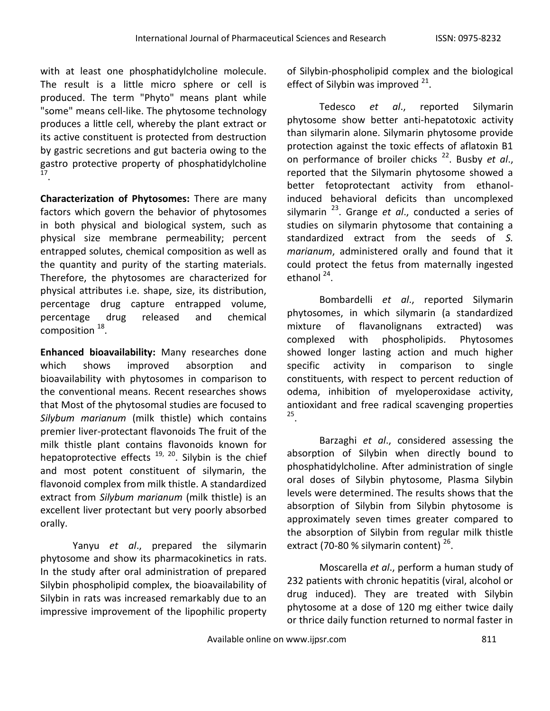with at least one phosphatidylcholine molecule. The result is a little micro sphere or cell is produced. The term "Phyto" means plant while "some" means cell-like. The phytosome technology produces a little cell, whereby the plant extract or its active constituent is protected from destruction by gastric secretions and gut bacteria owing to the gastro protective property of phosphatidylcholine 17 .

**Characterization of Phytosomes:** There are many factors which govern the behavior of phytosomes in both physical and biological system, such as physical size membrane permeability; percent entrapped solutes, chemical composition as well as the quantity and purity of the starting materials. Therefore, the phytosomes are characterized for physical attributes i.e. shape, size, its distribution, percentage drug capture entrapped volume, percentage drug released and chemical composition  $^{18}$ .

**Enhanced bioavailability:** Many researches done which shows improved absorption and bioavailability with phytosomes in comparison to the conventional means. Recent researches shows that Most of the phytosomal studies are focused to *Silybum marianum* (milk thistle) which contains premier liver-protectant flavonoids The fruit of the milk thistle plant contains flavonoids known for hepatoprotective effects<sup>19, 20</sup>. Silybin is the chief and most potent constituent of silymarin, the flavonoid complex from milk thistle. A standardized extract from *Silybum marianum* (milk thistle) is an excellent liver protectant but very poorly absorbed orally.

Yanyu *et al*., prepared the silymarin phytosome and show its pharmacokinetics in rats. In the study after oral administration of prepared Silybin phospholipid complex, the bioavailability of Silybin in rats was increased remarkably due to an impressive improvement of the lipophilic property of Silybin-phospholipid complex and the biological effect of Silybin was improved  $21$ .

Tedesco *et al*., reported Silymarin phytosome show better anti-hepatotoxic activity than silymarin alone. Silymarin phytosome provide protection against the toxic effects of aflatoxin B1 on performance of broiler chicks<sup>22</sup>. Busby et al., reported that the Silymarin phytosome showed a better fetoprotectant activity from ethanolinduced behavioral deficits than uncomplexed silymarin <sup>23</sup>. Grange *et al*., conducted a series of studies on silymarin phytosome that containing a standardized extract from the seeds of *S. marianum*, administered orally and found that it could protect the fetus from maternally ingested ethanol<sup>24</sup>.

Bombardelli *et al*., reported Silymarin phytosomes, in which silymarin (a standardized mixture of flavanolignans extracted) was complexed with phospholipids. Phytosomes showed longer lasting action and much higher specific activity in comparison to single constituents, with respect to percent reduction of odema, inhibition of myeloperoxidase activity, antioxidant and free radical scavenging properties 25 .

Barzaghi *et al*., considered assessing the absorption of Silybin when directly bound to phosphatidylcholine. After administration of single oral doses of Silybin phytosome, Plasma Silybin levels were determined. The results shows that the absorption of Silybin from Silybin phytosome is approximately seven times greater compared to the absorption of Silybin from regular milk thistle extract (70-80 % silymarin content) <sup>26</sup>.

Moscarella *et al*., perform a human study of 232 patients with chronic hepatitis (viral, alcohol or drug induced). They are treated with Silybin phytosome at a dose of 120 mg either twice daily or thrice daily function returned to normal faster in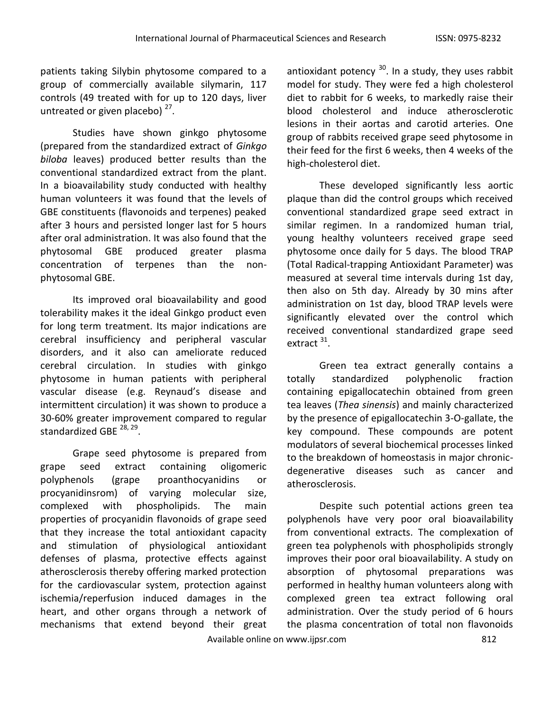patients taking Silybin phytosome compared to a group of commercially available silymarin, 117 controls (49 treated with for up to 120 days, liver untreated or given placebo)<sup>27</sup>.

Studies have shown ginkgo phytosome (prepared from the standardized extract of *Ginkgo biloba* leaves) produced better results than the conventional standardized extract from the plant. In a bioavailability study conducted with healthy human volunteers it was found that the levels of GBE constituents (flavonoids and terpenes) peaked after 3 hours and persisted longer last for 5 hours after oral administration. It was also found that the phytosomal GBE produced greater plasma concentration of terpenes than the nonphytosomal GBE.

Its improved oral bioavailability and good tolerability makes it the ideal Ginkgo product even for long term treatment. Its major indications are cerebral insufficiency and peripheral vascular disorders, and it also can ameliorate reduced cerebral circulation. In studies with ginkgo phytosome in human patients with peripheral vascular disease (e.g. Reynaud's disease and intermittent circulation) it was shown to produce a 30-60% greater improvement compared to regular standardized GBE <sup>28, 29</sup>.

Grape seed phytosome is prepared from grape seed extract containing oligomeric polyphenols (grape proanthocyanidins or procyanidinsrom) of varying molecular size, complexed with phospholipids. The main properties of procyanidin flavonoids of grape seed that they increase the total antioxidant capacity and stimulation of physiological antioxidant defenses of plasma, protective effects against atherosclerosis thereby offering marked protection for the cardiovascular system, protection against ischemia/reperfusion induced damages in the heart, and other organs through a network of mechanisms that extend beyond their great

antioxidant potency <sup>30</sup>. In a study, they uses rabbit model for study. They were fed a high cholesterol diet to rabbit for 6 weeks, to markedly raise their blood cholesterol and induce atherosclerotic lesions in their aortas and carotid arteries. One group of rabbits received grape seed phytosome in their feed for the first 6 weeks, then 4 weeks of the high-cholesterol diet.

These developed significantly less aortic plaque than did the control groups which received conventional standardized grape seed extract in similar regimen. In a randomized human trial, young healthy volunteers received grape seed phytosome once daily for 5 days. The blood TRAP (Total Radical-trapping Antioxidant Parameter) was measured at several time intervals during 1st day, then also on 5th day. Already by 30 mins after administration on 1st day, blood TRAP levels were significantly elevated over the control which received conventional standardized grape seed extract<sup>31</sup>.

Green tea extract generally contains a totally standardized polyphenolic fraction containing epigallocatechin obtained from green tea leaves (*Thea sinensis*) and mainly characterized by the presence of epigallocatechin 3-O-gallate, the key compound. These compounds are potent modulators of several biochemical processes linked to the breakdown of homeostasis in major chronicdegenerative diseases such as cancer and atherosclerosis.

Despite such potential actions green tea polyphenols have very poor oral bioavailability from conventional extracts. The complexation of green tea polyphenols with phospholipids strongly improves their poor oral bioavailability. A study on absorption of phytosomal preparations was performed in healthy human volunteers along with complexed green tea extract following oral administration. Over the study period of 6 hours the plasma concentration of total non flavonoids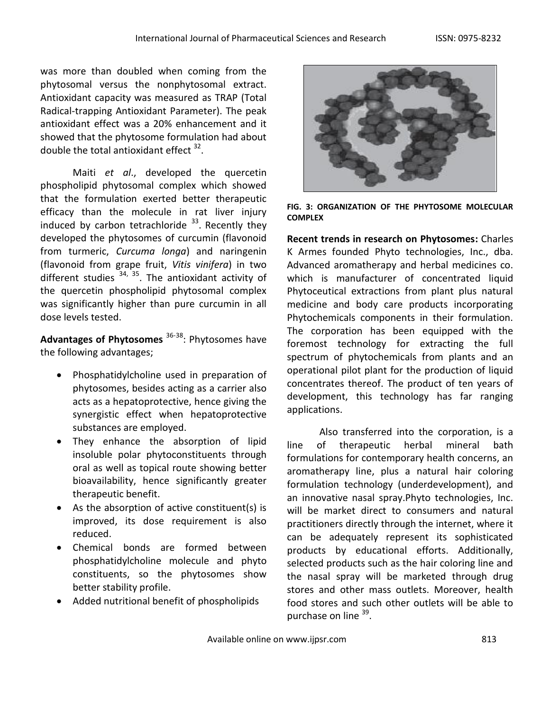was more than doubled when coming from the phytosomal versus the nonphytosomal extract. Antioxidant capacity was measured as TRAP (Total Radical-trapping Antioxidant Parameter). The peak antioxidant effect was a 20% enhancement and it showed that the phytosome formulation had about double the total antioxidant effect  $32$ .

Maiti *et al*., developed the quercetin phospholipid phytosomal complex which showed that the formulation exerted better therapeutic efficacy than the molecule in rat liver injury induced by carbon tetrachloride  $^{33}$ . Recently they developed the phytosomes of curcumin (flavonoid from turmeric, *Curcuma longa*) and naringenin (flavonoid from grape fruit, *Vitis vinifera*) in two different studies  $34, 35$ . The antioxidant activity of the quercetin phospholipid phytosomal complex was significantly higher than pure curcumin in all dose levels tested.

**Advantages of Phytosomes** 36-38 : Phytosomes have the following advantages;

- Phosphatidylcholine used in preparation of phytosomes, besides acting as a carrier also acts as a hepatoprotective, hence giving the synergistic effect when hepatoprotective substances are employed.
- They enhance the absorption of lipid insoluble polar phytoconstituents through oral as well as topical route showing better bioavailability, hence significantly greater therapeutic benefit.
- As the absorption of active constituent(s) is improved, its dose requirement is also reduced.
- Chemical bonds are formed between phosphatidylcholine molecule and phyto constituents, so the phytosomes show better stability profile.
- Added nutritional benefit of phospholipids



**FIG. 3: ORGANIZATION OF THE PHYTOSOME MOLECULAR COMPLEX**

**Recent trends in research on Phytosomes:** Charles K Armes founded Phyto technologies, Inc., dba. Advanced aromatherapy and herbal medicines co. which is manufacturer of concentrated liquid Phytoceutical extractions from plant plus natural medicine and body care products incorporating Phytochemicals components in their formulation. The corporation has been equipped with the foremost technology for extracting the full spectrum of phytochemicals from plants and an operational pilot plant for the production of liquid concentrates thereof. The product of ten years of development, this technology has far ranging applications.

Also transferred into the corporation, is a line of therapeutic herbal mineral bath formulations for contemporary health concerns, an aromatherapy line, plus a natural hair coloring formulation technology (underdevelopment), and an innovative nasal spray.Phyto technologies, Inc. will be market direct to consumers and natural practitioners directly through the internet, where it can be adequately represent its sophisticated products by educational efforts. Additionally, selected products such as the hair coloring line and the nasal spray will be marketed through drug stores and other mass outlets. Moreover, health food stores and such other outlets will be able to purchase on line <sup>39</sup>.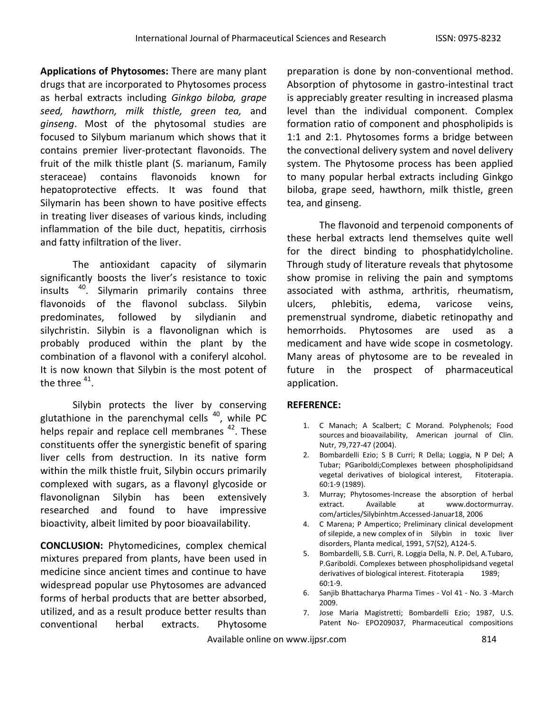**Applications of Phytosomes:** There are many plant drugs that are incorporated to Phytosomes process as herbal extracts including *Ginkgo biloba, grape seed, hawthorn, milk thistle, green tea,* and *ginseng*. Most of the phytosomal studies are focused to Silybum marianum which shows that it contains premier liver-protectant flavonoids. The fruit of the milk thistle plant (S. marianum, Family steraceae) contains flavonoids known for hepatoprotective effects. It was found that Silymarin has been shown to have positive effects in treating liver diseases of various kinds, including inflammation of the bile duct, hepatitis, cirrhosis and fatty infiltration of the liver.

The antioxidant capacity of silymarin significantly boosts the liver's resistance to toxic insults <sup>40</sup>. Silymarin primarily contains three flavonoids of the flavonol subclass. Silybin predominates, followed by silydianin and silychristin. Silybin is a flavonolignan which is probably produced within the plant by the combination of a flavonol with a coniferyl alcohol. It is now known that Silybin is the most potent of the three  $^{41}$ .

Silybin protects the liver by conserving glutathione in the parenchymal cells  $40$ , while PC helps repair and replace cell membranes <sup>42</sup>. These constituents offer the synergistic benefit of sparing liver cells from destruction. In its native form within the milk thistle fruit, Silybin occurs primarily complexed with sugars, as a flavonyl glycoside or flavonolignan Silybin has been extensively researched and found to have impressive bioactivity, albeit limited by poor bioavailability.

**CONCLUSION:** Phytomedicines, complex chemical mixtures prepared from plants, have been used in medicine since ancient times and continue to have widespread popular use Phytosomes are advanced forms of herbal products that are better absorbed, utilized, and as a result produce better results than conventional herbal extracts. Phytosome

preparation is done by non-conventional method. Absorption of phytosome in gastro-intestinal tract is appreciably greater resulting in increased plasma level than the individual component. Complex formation ratio of component and phospholipids is 1:1 and 2:1. Phytosomes forms a bridge between the convectional delivery system and novel delivery system. The Phytosome process has been applied to many popular herbal extracts including Ginkgo biloba, grape seed, hawthorn, milk thistle, green tea, and ginseng.

The flavonoid and terpenoid components of these herbal extracts lend themselves quite well for the direct binding to phosphatidylcholine. Through study of literature reveals that phytosome show promise in reliving the pain and symptoms associated with asthma, arthritis, rheumatism, ulcers, phlebitis, edema, varicose veins, premenstrual syndrome, diabetic retinopathy and hemorrhoids. Phytosomes are used as a medicament and have wide scope in cosmetology. Many areas of phytosome are to be revealed in future in the prospect of pharmaceutical application.

## **REFERENCE:**

- 1. C Manach; A Scalbert; C Morand. Polyphenols; Food sources and bioavailability, American journal of Clin. Nutr, 79,727-47 (2004).
- 2. Bombardelli Ezio; S B Curri; R Della; Loggia, N P Del; A Tubar; PGariboldi;Complexes between phospholipidsand vegetal derivatives of biological interest, Fitoterapia. 60:1-9 (1989).
- 3. Murray; Phytosomes-Increase the absorption of herbal extract. Available at www.doctormurray. com/articles/Silybinhtm.Accessed-Januar18, 2006
- 4. C Marena; P Ampertico; Preliminary clinical development of silepide, a new complex of in Silybin in toxic liver disorders, Planta medical, 1991, 57(S2), A124-5.
- 5. Bombardelli, S.B. Curri, R. Loggia Della, N. P. Del, A.Tubaro, P.Gariboldi. Complexes between phospholipidsand vegetal derivatives of biological interest. Fitoterapia 1989; 60:1-9.
- 6. Sanjib Bhattacharya Pharma Times Vol 41 No. 3 -March 2009.
- 7. Jose Maria Magistretti; Bombardelli Ezio; 1987, U.S. Patent No- EPO209037, Pharmaceutical compositions